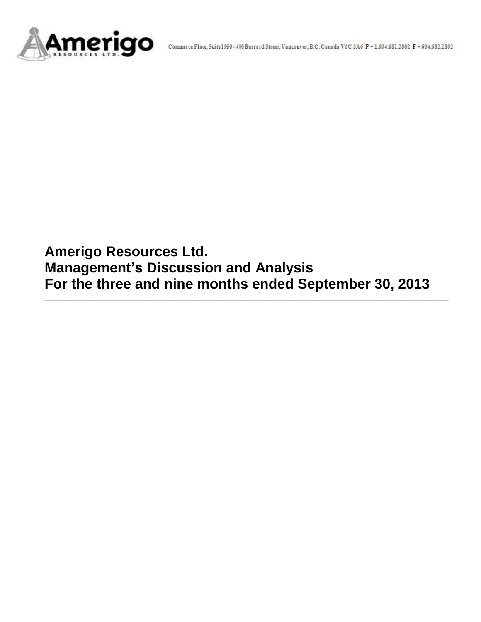

**Amerigo Resources Ltd. Management's Discussion and Analysis For the three and nine months ended September 30, 2013**

**\_\_\_\_\_\_\_\_\_\_\_\_\_\_\_\_\_\_\_\_\_\_\_\_\_\_\_\_\_\_\_\_\_\_\_\_\_\_\_\_\_\_\_\_\_\_\_\_\_\_\_\_\_\_\_\_\_\_\_\_\_\_\_\_\_\_\_\_\_\_\_\_\_\_\_\_\_\_\_\_\_\_\_\_**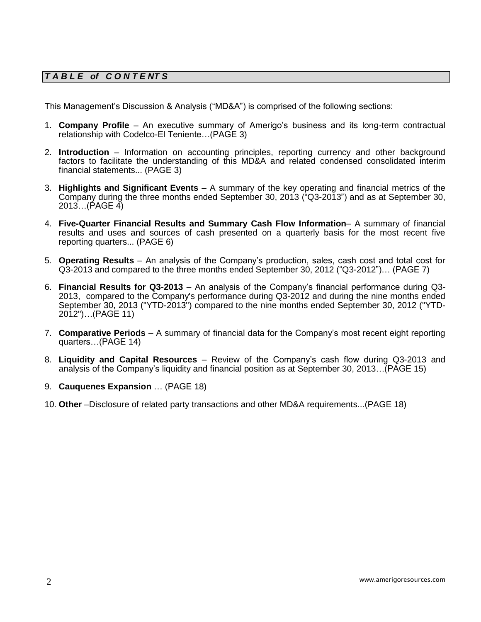# *T A B L E of C O N T E NT S*

This Management's Discussion & Analysis ("MD&A") is comprised of the following sections:

- 1. **Company Profile**  An executive summary of Amerigo's business and its long-term contractual relationship with Codelco-El Teniente…(PAGE 3)
- 2. **Introduction**  Information on accounting principles, reporting currency and other background factors to facilitate the understanding of this MD&A and related condensed consolidated interim financial statements... (PAGE 3)
- 3. **Highlights and Significant Events** A summary of the key operating and financial metrics of the Company during the three months ended September 30, 2013 ("Q3-2013") and as at September 30, 2013…(PAGE 4)
- 4. **Five-Quarter Financial Results and Summary Cash Flow Information** A summary of financial results and uses and sources of cash presented on a quarterly basis for the most recent five reporting quarters... (PAGE 6)
- 5. **Operating Results** An analysis of the Company's production, sales, cash cost and total cost for Q3-2013 and compared to the three months ended September 30, 2012 ("Q3-2012")… (PAGE 7)
- 6. **Financial Results for Q3-2013** An analysis of the Company's financial performance during Q3- 2013, compared to the Company's performance during Q3-2012 and during the nine months ended September 30, 2013 ("YTD-2013") compared to the nine months ended September 30, 2012 ("YTD-2012")…(PAGE 11)
- 7. **Comparative Periods** A summary of financial data for the Company's most recent eight reporting quarters…(PAGE 14)
- 8. **Liquidity and Capital Resources** Review of the Company's cash flow during Q3-2013 and analysis of the Company's liquidity and financial position as at September 30, 2013…(PAGE 15)
- 9. **Cauquenes Expansion** … (PAGE 18)
- 10. **Other** –Disclosure of related party transactions and other MD&A requirements...(PAGE 18)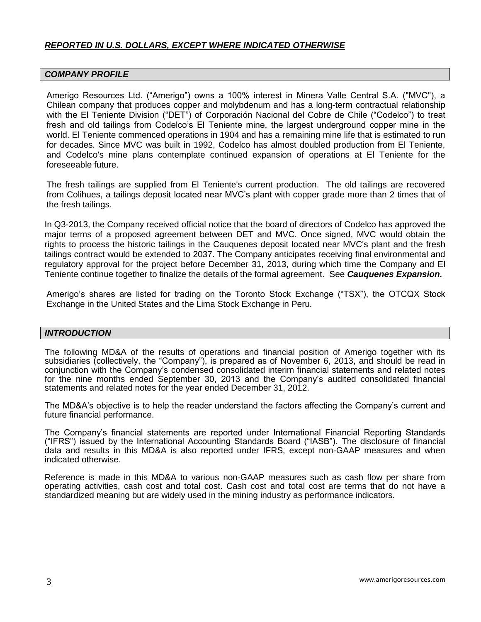# *REPORTED IN U.S. DOLLARS, EXCEPT WHERE INDICATED OTHERWISE*

#### *COMPANY PROFILE*

Amerigo Resources Ltd. ("Amerigo") owns a 100% interest in Minera Valle Central S.A. ("MVC"), a Chilean company that produces copper and molybdenum and has a long-term contractual relationship with the El Teniente Division ("DET") of Corporación Nacional del Cobre de Chile ("Codelco") to treat fresh and old tailings from Codelco's El Teniente mine, the largest underground copper mine in the world. El Teniente commenced operations in 1904 and has a remaining mine life that is estimated to run for decades. Since MVC was built in 1992, Codelco has almost doubled production from El Teniente, and Codelco's mine plans contemplate continued expansion of operations at El Teniente for the foreseeable future.

The fresh tailings are supplied from El Teniente's current production. The old tailings are recovered from Colihues, a tailings deposit located near MVC's plant with copper grade more than 2 times that of the fresh tailings.

In Q3-2013, the Company received official notice that the board of directors of Codelco has approved the major terms of a proposed agreement between DET and MVC. Once signed, MVC would obtain the rights to process the historic tailings in the Cauquenes deposit located near MVC's plant and the fresh tailings contract would be extended to 2037. The Company anticipates receiving final environmental and regulatory approval for the project before December 31, 2013, during which time the Company and El Teniente continue together to finalize the details of the formal agreement. See *Cauquenes Expansion.*

Amerigo's shares are listed for trading on the Toronto Stock Exchange ("TSX"), the OTCQX Stock Exchange in the United States and the Lima Stock Exchange in Peru.

### *INTRODUCTION*

The following MD&A of the results of operations and financial position of Amerigo together with its subsidiaries (collectively, the "Company"), is prepared as of November 6, 2013, and should be read in conjunction with the Company's condensed consolidated interim financial statements and related notes for the nine months ended September 30, 2013 and the Company's audited consolidated financial statements and related notes for the year ended December 31, 2012.

The MD&A's objective is to help the reader understand the factors affecting the Company's current and future financial performance.

The Company's financial statements are reported under International Financial Reporting Standards ("IFRS") issued by the International Accounting Standards Board ("IASB"). The disclosure of financial data and results in this MD&A is also reported under IFRS, except non-GAAP measures and when indicated otherwise.

Reference is made in this MD&A to various non-GAAP measures such as cash flow per share from operating activities, cash cost and total cost. Cash cost and total cost are terms that do not have a standardized meaning but are widely used in the mining industry as performance indicators.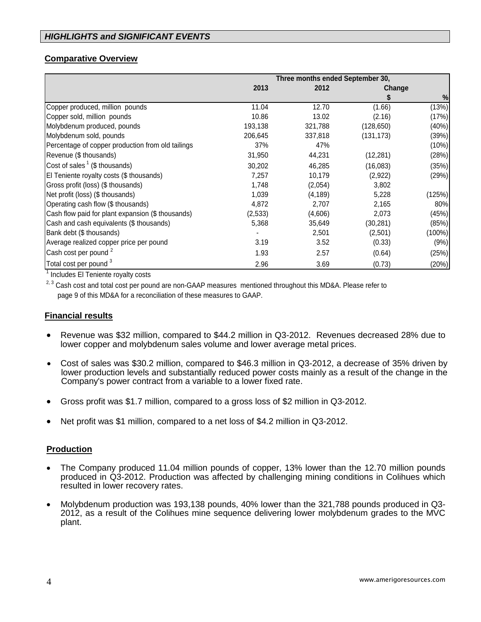# **Comparative Overview**

|                                                   | Three months ended September 30, |          |            |        |
|---------------------------------------------------|----------------------------------|----------|------------|--------|
|                                                   | 2013                             | 2012     | Change     |        |
|                                                   |                                  |          |            | $\%$   |
| Copper produced, million pounds                   | 11.04                            | 12.70    | (1.66)     | (13%)  |
| Copper sold, million pounds                       | 10.86                            | 13.02    | (2.16)     | (17%)  |
| Molybdenum produced, pounds                       | 193,138                          | 321,788  | (128, 650) | (40%)  |
| Molybdenum sold, pounds                           | 206,645                          | 337,818  | (131, 173) | (39%)  |
| Percentage of copper production from old tailings | 37%                              | 47%      |            | (10%)  |
| Revenue (\$ thousands)                            | 31,950                           | 44,231   | (12, 281)  | (28%)  |
| Cost of sales $1$ (\$ thousands)                  | 30,202                           | 46,285   | (16,083)   | (35%)  |
| El Teniente royalty costs (\$ thousands)          | 7,257                            | 10,179   | (2,922)    | (29%)  |
| Gross profit (loss) (\$ thousands)                | 1,748                            | (2,054)  | 3,802      |        |
| Net profit (loss) (\$ thousands)                  | 1,039                            | (4, 189) | 5,228      | (125%) |
| Operating cash flow (\$ thousands)                | 4,872                            | 2,707    | 2,165      | 80%    |
| Cash flow paid for plant expansion (\$ thousands) | (2,533)                          | (4,606)  | 2,073      | (45%)  |
| Cash and cash equivalents (\$ thousands)          | 5,368                            | 35,649   | (30, 281)  | (85%)  |
| Bank debt (\$ thousands)                          |                                  | 2,501    | (2,501)    | (100%) |
| Average realized copper price per pound           | 3.19                             | 3.52     | (0.33)     | (9% )  |
| Cash cost per pound <sup>2</sup>                  | 1.93                             | 2.57     | (0.64)     | (25%)  |
| Total cost per pound <sup>3</sup>                 | 2.96                             | 3.69     | (0.73)     | (20%)  |

<sup>1</sup> Includes El Teniente royalty costs

<sup>2, 3</sup> Cash cost and total cost per pound are non-GAAP measures mentioned throughout this MD&A. Please refer to page 9 of this MD&A for a reconciliation of these measures to GAAP.

### **Financial results**

- Revenue was \$32 million, compared to \$44.2 million in Q3-2012. Revenues decreased 28% due to lower copper and molybdenum sales volume and lower average metal prices.
- Cost of sales was \$30.2 million, compared to \$46.3 million in Q3-2012, a decrease of 35% driven by lower production levels and substantially reduced power costs mainly as a result of the change in the Company's power contract from a variable to a lower fixed rate.
- Gross profit was \$1.7 million, compared to a gross loss of \$2 million in Q3-2012.
- Net profit was \$1 million, compared to a net loss of \$4.2 million in Q3-2012.

### **Production**

- The Company produced 11.04 million pounds of copper, 13% lower than the 12.70 million pounds produced in Q3-2012. Production was affected by challenging mining conditions in Colihues which resulted in lower recovery rates.
- Molybdenum production was 193,138 pounds, 40% lower than the 321,788 pounds produced in Q3- 2012, as a result of the Colihues mine sequence delivering lower molybdenum grades to the MVC plant.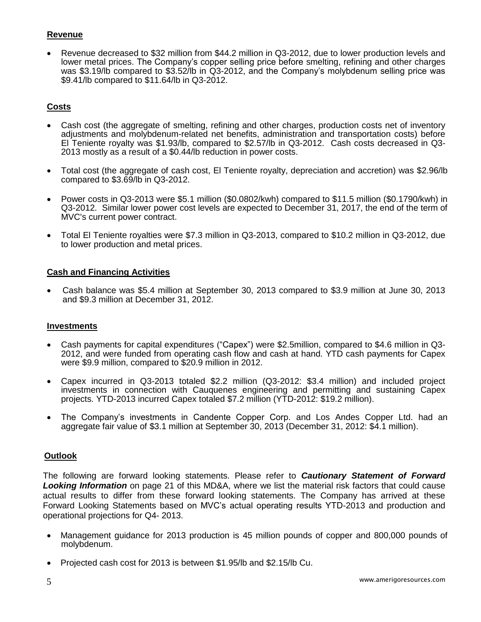# **Revenue**

 Revenue decreased to \$32 million from \$44.2 million in Q3-2012, due to lower production levels and lower metal prices. The Company's copper selling price before smelting, refining and other charges was \$3.19/lb compared to \$3.52/lb in Q3-2012, and the Company's molybdenum selling price was \$9.41/lb compared to \$11.64/lb in Q3-2012.

# **Costs**

- Cash cost (the aggregate of smelting, refining and other charges, production costs net of inventory adjustments and molybdenum-related net benefits, administration and transportation costs) before El Teniente royalty was \$1.93/lb, compared to \$2.57/lb in Q3-2012. Cash costs decreased in Q3- 2013 mostly as a result of a \$0.44/lb reduction in power costs.
- Total cost (the aggregate of cash cost, El Teniente royalty, depreciation and accretion) was \$2.96/lb compared to \$3.69/lb in Q3-2012.
- Power costs in Q3-2013 were \$5.1 million (\$0.0802/kwh) compared to \$11.5 million (\$0.1790/kwh) in Q3-2012. Similar lower power cost levels are expected to December 31, 2017, the end of the term of MVC's current power contract.
- Total El Teniente royalties were \$7.3 million in Q3-2013, compared to \$10.2 million in Q3-2012, due to lower production and metal prices.

### **Cash and Financing Activities**

 Cash balance was \$5.4 million at September 30, 2013 compared to \$3.9 million at June 30, 2013 and \$9.3 million at December 31, 2012.

#### **Investments**

- Cash payments for capital expenditures ("Capex") were \$2.5million, compared to \$4.6 million in Q3- 2012, and were funded from operating cash flow and cash at hand. YTD cash payments for Capex were \$9.9 million, compared to \$20.9 million in 2012.
- Capex incurred in Q3-2013 totaled \$2.2 million (Q3-2012: \$3.4 million) and included project investments in connection with Cauquenes engineering and permitting and sustaining Capex projects. YTD-2013 incurred Capex totaled \$7.2 million (YTD-2012: \$19.2 million).
- The Company's investments in Candente Copper Corp. and Los Andes Copper Ltd. had an aggregate fair value of \$3.1 million at September 30, 2013 (December 31, 2012: \$4.1 million).

### **Outlook**

The following are forward looking statements. Please refer to *Cautionary Statement of Forward Looking Information* on page 21 of this MD&A, where we list the material risk factors that could cause actual results to differ from these forward looking statements. The Company has arrived at these Forward Looking Statements based on MVC's actual operating results YTD-2013 and production and operational projections for Q4- 2013.

- Management guidance for 2013 production is 45 million pounds of copper and 800,000 pounds of molybdenum.
- Projected cash cost for 2013 is between \$1.95/lb and \$2.15/lb Cu.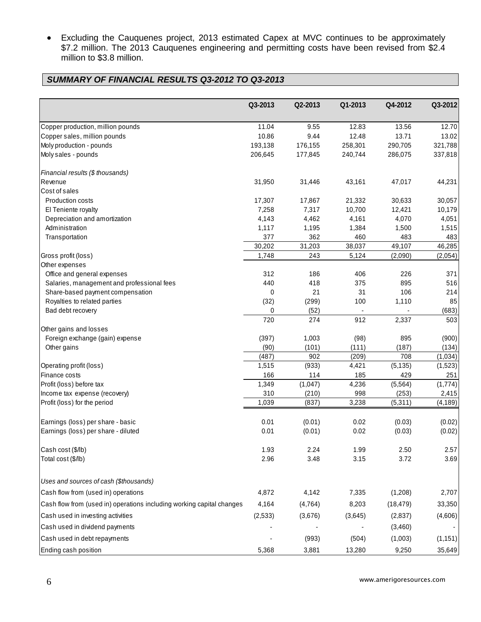Excluding the Cauquenes project, 2013 estimated Capex at MVC continues to be approximately \$7.2 million. The 2013 Cauquenes engineering and permitting costs have been revised from \$2.4 million to \$3.8 million.

# *SUMMARY OF FINANCIAL RESULTS Q3-2012 TO Q3-2013*

|                                                                       | Q3-2013    | Q2-2013    | Q1-2013    | Q4-2012    | Q3-2012    |
|-----------------------------------------------------------------------|------------|------------|------------|------------|------------|
| Copper production, million pounds                                     | 11.04      | 9.55       | 12.83      | 13.56      | 12.70      |
| Copper sales, million pounds                                          | 10.86      | 9.44       | 12.48      | 13.71      | 13.02      |
| Moly production - pounds                                              | 193,138    | 176,155    | 258,301    | 290,705    | 321,788    |
| Moly sales - pounds                                                   | 206,645    | 177,845    | 240,744    | 286,075    | 337,818    |
| Financial results (\$ thousands)                                      |            |            |            |            |            |
| Revenue                                                               | 31,950     | 31,446     | 43,161     | 47,017     | 44,231     |
| Cost of sales                                                         |            |            |            |            |            |
| Production costs                                                      | 17,307     | 17,867     | 21,332     | 30,633     | 30,057     |
| El Teniente royalty                                                   | 7,258      | 7,317      | 10,700     | 12,421     | 10,179     |
| Depreciation and amortization                                         | 4,143      | 4,462      | 4,161      | 4,070      | 4,051      |
| Administration                                                        | 1,117      | 1,195      | 1,384      | 1,500      | 1,515      |
| Transportation                                                        | 377        | 362        | 460        | 483        | 483        |
|                                                                       | 30,202     | 31,203     | 38,037     | 49,107     | 46,285     |
| Gross profit (loss)                                                   | 1,748      | 243        | 5,124      | (2,090)    | (2,054)    |
| Other expenses                                                        |            |            |            |            |            |
| Office and general expenses                                           | 312<br>440 | 186<br>418 | 406<br>375 | 226<br>895 | 371<br>516 |
| Salaries, management and professional fees                            | 0          | 21         | 31         | 106        | 214        |
| Share-based payment compensation<br>Royalties to related parties      | (32)       | (299)      | 100        | 1,110      | 85         |
| Bad debt recovery                                                     | 0          | (52)       |            |            | (683)      |
|                                                                       | 720        | 274        | 912        | 2,337      | 503        |
| Other gains and losses                                                |            |            |            |            |            |
| Foreign exchange (gain) expense                                       | (397)      | 1,003      | (98)       | 895        | (900)      |
| Other gains                                                           | (90)       | (101)      | (111)      | (187)      | (134)      |
|                                                                       | (487)      | 902        | (209)      | 708        | (1,034)    |
| Operating profit (loss)                                               | 1,515      | (933)      | 4,421      | (5, 135)   | (1,523)    |
| Finance costs                                                         | 166        | 114        | 185        | 429        | 251        |
| Profit (loss) before tax                                              | 1,349      | (1,047)    | 4,236      | (5, 564)   | (1,774)    |
| Income tax expense (recovery)                                         | 310        | (210)      | 998        | (253)      | 2,415      |
| Profit (loss) for the period                                          | 1,039      | (837)      | 3,238      | (5, 311)   | (4,189)    |
| Earnings (loss) per share - basic                                     | 0.01       | (0.01)     | 0.02       | (0.03)     | (0.02)     |
| Earnings (loss) per share - diluted                                   | 0.01       | (0.01)     | 0.02       | (0.03)     | (0.02)     |
| Cash cost (\$/lb)                                                     | 1.93       | 2.24       | 1.99       | 2.50       | 2.57       |
| Total cost (\$/lb)                                                    | 2.96       | 3.48       | 3.15       | 3.72       | 3.69       |
| Uses and sources of cash (\$thousands)                                |            |            |            |            |            |
| Cash flow from (used in) operations                                   | 4,872      | 4,142      | 7,335      | (1,208)    | 2,707      |
| Cash flow from (used in) operations including working capital changes | 4,164      | (4, 764)   | 8,203      | (18, 479)  | 33,350     |
| Cash used in investing activities                                     | (2,533)    | (3,676)    | (3,645)    | (2,837)    | (4,606)    |
|                                                                       |            |            |            |            |            |
| Cash used in dividend payments                                        |            |            |            | (3,460)    |            |
| Cash used in debt repayments                                          |            | (993)      | (504)      | (1,003)    | (1, 151)   |
| Ending cash position                                                  | 5,368      | 3,881      | 13,280     | 9,250      | 35,649     |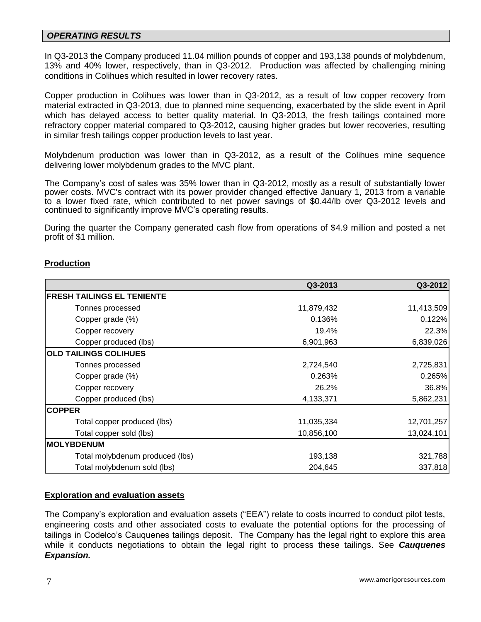### *OPERATING RESULTS*

In Q3-2013 the Company produced 11.04 million pounds of copper and 193,138 pounds of molybdenum, 13% and 40% lower, respectively, than in Q3-2012. Production was affected by challenging mining conditions in Colihues which resulted in lower recovery rates.

Copper production in Colihues was lower than in Q3-2012, as a result of low copper recovery from material extracted in Q3-2013, due to planned mine sequencing, exacerbated by the slide event in April which has delayed access to better quality material. In Q3-2013, the fresh tailings contained more refractory copper material compared to Q3-2012, causing higher grades but lower recoveries, resulting in similar fresh tailings copper production levels to last year.

Molybdenum production was lower than in Q3-2012, as a result of the Colihues mine sequence delivering lower molybdenum grades to the MVC plant.

The Company's cost of sales was 35% lower than in Q3-2012, mostly as a result of substantially lower power costs. MVC's contract with its power provider changed effective January 1, 2013 from a variable to a lower fixed rate, which contributed to net power savings of \$0.44/lb over Q3-2012 levels and continued to significantly improve MVC's operating results.

During the quarter the Company generated cash flow from operations of \$4.9 million and posted a net profit of \$1 million.

### **Production**

|                                   | Q3-2013    | Q3-2012    |
|-----------------------------------|------------|------------|
| <b>FRESH TAILINGS EL TENIENTE</b> |            |            |
| Tonnes processed                  | 11,879,432 | 11,413,509 |
| Copper grade (%)                  | 0.136%     | 0.122%     |
| Copper recovery                   | 19.4%      | 22.3%      |
| Copper produced (lbs)             | 6,901,963  | 6,839,026  |
| <b>OLD TAILINGS COLIHUES</b>      |            |            |
| Tonnes processed                  | 2,724,540  | 2,725,831  |
| Copper grade (%)                  | 0.263%     | 0.265%     |
| Copper recovery                   | 26.2%      | 36.8%      |
| Copper produced (lbs)             | 4,133,371  | 5,862,231  |
| <b>COPPER</b>                     |            |            |
| Total copper produced (lbs)       | 11,035,334 | 12,701,257 |
| Total copper sold (lbs)           | 10,856,100 | 13,024,101 |
| <b>IMOLYBDENUM</b>                |            |            |
| Total molybdenum produced (lbs)   | 193,138    | 321,788    |
| Total molybdenum sold (lbs)       | 204,645    | 337,818    |

#### **Exploration and evaluation assets**

The Company's exploration and evaluation assets ("EEA") relate to costs incurred to conduct pilot tests, engineering costs and other associated costs to evaluate the potential options for the processing of tailings in Codelco's Cauquenes tailings deposit. The Company has the legal right to explore this area while it conducts negotiations to obtain the legal right to process these tailings. See *Cauquenes Expansion.*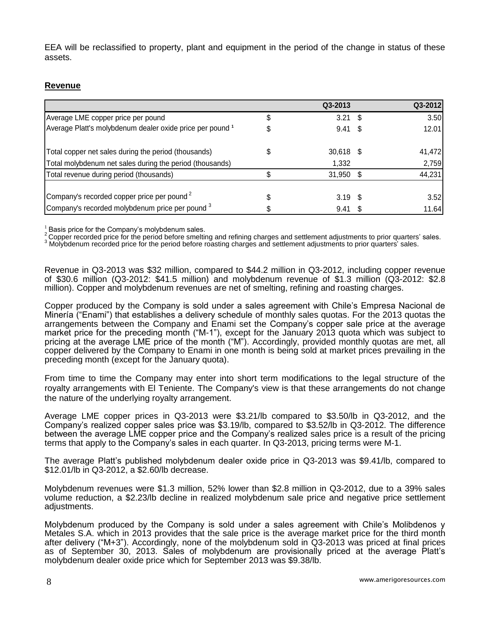EEA will be reclassified to property, plant and equipment in the period of the change in status of these assets.

# **Revenue**

|                                                           | Q3-2013           |      | Q3-2012 |
|-----------------------------------------------------------|-------------------|------|---------|
| Average LME copper price per pound                        | 3.21              | - \$ | 3.50    |
| Average Platt's molybdenum dealer oxide price per pound 1 | $9.41 \text{ } $$ |      | 12.01   |
| Total copper net sales during the period (thousands)      | 30,618 \$         |      | 41,472  |
| Total molybdenum net sales during the period (thousands)  | 1,332             |      | 2,759   |
| Total revenue during period (thousands)                   | $31,950$ \$       |      | 44,231  |
| Company's recorded copper price per pound <sup>2</sup>    | $3.19$ \$         |      | 3.52    |
| Company's recorded molybdenum price per pound 3           | 9.41              |      | 11.64   |

 $1/2$  Basis price for the Company's molybdenum sales.

2 Copper recorded price for the period before smelting and refining charges and settlement adjustments to prior quarters' sales.

3 Supper received price for the period before roasting charges and settlement adjustments to prior quarters' sales.

Revenue in Q3-2013 was \$32 million, compared to \$44.2 million in Q3-2012, including copper revenue of \$30.6 million (Q3-2012: \$41.5 million) and molybdenum revenue of \$1.3 million (Q3-2012: \$2.8 million). Copper and molybdenum revenues are net of smelting, refining and roasting charges.

Copper produced by the Company is sold under a sales agreement with Chile's Empresa Nacional de Minería ("Enami") that establishes a delivery schedule of monthly sales quotas. For the 2013 quotas the arrangements between the Company and Enami set the Company's copper sale price at the average market price for the preceding month ("M-1"), except for the January 2013 quota which was subject to pricing at the average LME price of the month ("M"). Accordingly, provided monthly quotas are met, all copper delivered by the Company to Enami in one month is being sold at market prices prevailing in the preceding month (except for the January quota).

From time to time the Company may enter into short term modifications to the legal structure of the royalty arrangements with El Teniente. The Company's view is that these arrangements do not change the nature of the underlying royalty arrangement.

Average LME copper prices in Q3-2013 were \$3.21/lb compared to \$3.50/lb in Q3-2012, and the Company's realized copper sales price was \$3.19/lb, compared to \$3.52/lb in Q3-2012. The difference between the average LME copper price and the Company's realized sales price is a result of the pricing terms that apply to the Company's sales in each quarter. In Q3-2013, pricing terms were M-1.

The average Platt's published molybdenum dealer oxide price in Q3-2013 was \$9.41/lb, compared to \$12.01/lb in Q3-2012, a \$2.60/lb decrease.

Molybdenum revenues were \$1.3 million, 52% lower than \$2.8 million in Q3-2012, due to a 39% sales volume reduction, a \$2.23/lb decline in realized molybdenum sale price and negative price settlement adjustments.

Molybdenum produced by the Company is sold under a sales agreement with Chile's Molibdenos y Metales S.A. which in 2013 provides that the sale price is the average market price for the third month after delivery ("M+3"). Accordingly, none of the molybdenum sold in Q3-2013 was priced at final prices as of September 30, 2013. Sales of molybdenum are provisionally priced at the average Platt's molybdenum dealer oxide price which for September 2013 was \$9.38/lb.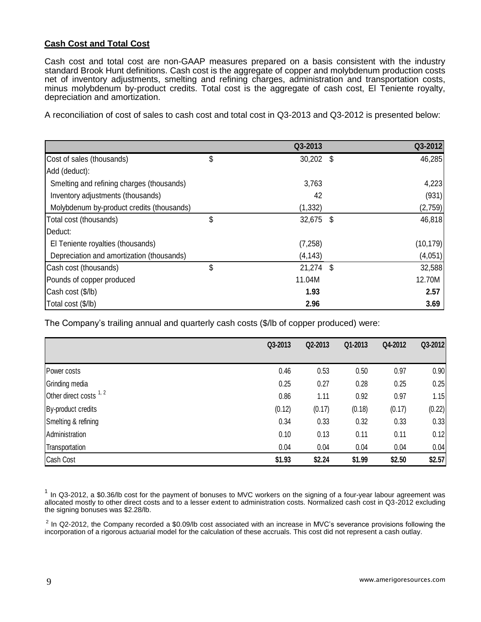## **Cash Cost and Total Cost**

Cash cost and total cost are non-GAAP measures prepared on a basis consistent with the industry standard Brook Hunt definitions. Cash cost is the aggregate of copper and molybdenum production costs net of inventory adjustments, smelting and refining charges, administration and transportation costs, minus molybdenum by-product credits. Total cost is the aggregate of cash cost, El Teniente royalty, depreciation and amortization.

A reconciliation of cost of sales to cash cost and total cost in Q3-2013 and Q3-2012 is presented below:

|                                           | Q3-2013           |      | Q3-2012   |
|-------------------------------------------|-------------------|------|-----------|
| Cost of sales (thousands)                 | \$<br>$30,202$ \$ |      | 46,285    |
| Add (deduct):                             |                   |      |           |
| Smelting and refining charges (thousands) | 3,763             |      | 4,223     |
| Inventory adjustments (thousands)         | 42                |      | (931)     |
| Molybdenum by-product credits (thousands) | (1, 332)          |      | (2,759)   |
| Total cost (thousands)                    | \$<br>32,675 \$   |      | 46,818    |
| Deduct:                                   |                   |      |           |
| El Teniente royalties (thousands)         | (7, 258)          |      | (10, 179) |
| Depreciation and amortization (thousands) | (4, 143)          |      | (4,051)   |
| Cash cost (thousands)                     | \$<br>21,274      | - \$ | 32,588    |
| Pounds of copper produced                 | 11.04M            |      | 12.70M    |
| Cash cost (\$/lb)                         | 1.93              |      | 2.57      |
| Total cost (\$/lb)                        | 2.96              |      | 3.69      |

The Company's trailing annual and quarterly cash costs (\$/lb of copper produced) were:

|                         | Q3-2013 | Q2-2013 | Q1-2013 | Q4-2012 | Q3-2012 |
|-------------------------|---------|---------|---------|---------|---------|
|                         |         |         |         |         |         |
| Power costs             | 0.46    | 0.53    | 0.50    | 0.97    | 0.90    |
| Grinding media          | 0.25    | 0.27    | 0.28    | 0.25    | 0.25    |
| Other direct costs 1, 2 | 0.86    | 1.11    | 0.92    | 0.97    | 1.15    |
| By-product credits      | (0.12)  | (0.17)  | (0.18)  | (0.17)  | (0.22)  |
| Smelting & refining     | 0.34    | 0.33    | 0.32    | 0.33    | 0.33    |
| Administration          | 0.10    | 0.13    | 0.11    | 0.11    | 0.12    |
| Transportation          | 0.04    | 0.04    | 0.04    | 0.04    | 0.04    |
| Cash Cost               | \$1.93  | \$2.24  | \$1.99  | \$2.50  | \$2.57  |

 $1$  In Q3-2012, a \$0.36/lb cost for the payment of bonuses to MVC workers on the signing of a four-year labour agreement was allocated mostly to other direct costs and to a lesser extent to administration costs. Normalized cash cost in Q3-2012 excluding the signing bonuses was \$2.28/lb.

 $^2$  In Q2-2012, the Company recorded a \$0.09/lb cost associated with an increase in MVC's severance provisions following the incorporation of a rigorous actuarial model for the calculation of these accruals. This cost did not represent a cash outlay.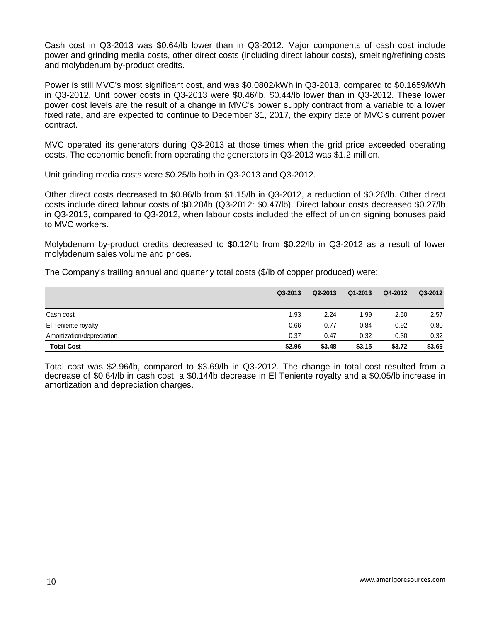Cash cost in Q3-2013 was \$0.64/lb lower than in Q3-2012. Major components of cash cost include power and grinding media costs, other direct costs (including direct labour costs), smelting/refining costs and molybdenum by-product credits.

Power is still MVC's most significant cost, and was \$0.0802/kWh in Q3-2013, compared to \$0.1659/kWh in Q3-2012. Unit power costs in Q3-2013 were \$0.46/lb, \$0.44/lb lower than in Q3-2012. These lower power cost levels are the result of a change in MVC's power supply contract from a variable to a lower fixed rate, and are expected to continue to December 31, 2017, the expiry date of MVC's current power contract.

MVC operated its generators during Q3-2013 at those times when the grid price exceeded operating costs. The economic benefit from operating the generators in Q3-2013 was \$1.2 million.

Unit grinding media costs were \$0.25/lb both in Q3-2013 and Q3-2012.

Other direct costs decreased to \$0.86/lb from \$1.15/lb in Q3-2012, a reduction of \$0.26/lb. Other direct costs include direct labour costs of \$0.20/lb (Q3-2012: \$0.47/lb). Direct labour costs decreased \$0.27/lb in Q3-2013, compared to Q3-2012, when labour costs included the effect of union signing bonuses paid to MVC workers.

Molybdenum by-product credits decreased to \$0.12/lb from \$0.22/lb in Q3-2012 as a result of lower molybdenum sales volume and prices.

The Company's trailing annual and quarterly total costs (\$/lb of copper produced) were:

|                            | Q3-2013 | Q2-2013 | Q1-2013 | Q4-2012 | Q3-2012 |
|----------------------------|---------|---------|---------|---------|---------|
| Cash cost                  | 1.93    | 2.24    | 1.99    | 2.50    | 2.57    |
| <b>El Teniente royalty</b> | 0.66    | 0.77    | 0.84    | 0.92    | 0.80    |
| Amortization/depreciation  | 0.37    | 0.47    | 0.32    | 0.30    | 0.32    |
| <b>Total Cost</b>          | \$2.96  | \$3.48  | \$3.15  | \$3.72  | \$3.69  |

Total cost was \$2.96/lb, compared to \$3.69/lb in Q3-2012. The change in total cost resulted from a decrease of \$0.64/lb in cash cost, a \$0.14/lb decrease in El Teniente royalty and a \$0.05/lb increase in amortization and depreciation charges.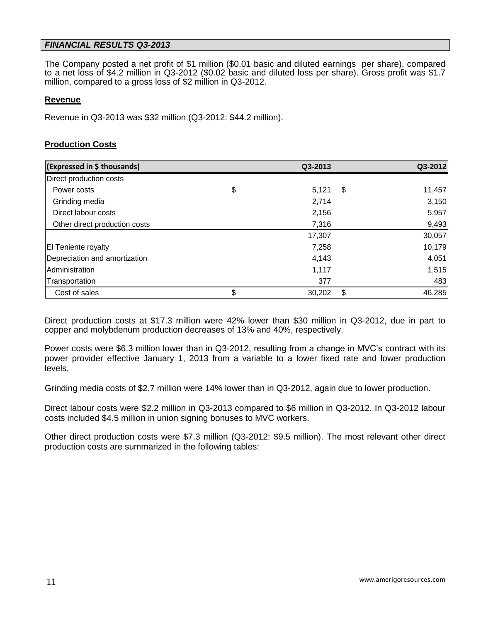### *FINANCIAL RESULTS Q3-2013*

The Company posted a net profit of \$1 million (\$0.01 basic and diluted earnings per share), compared to a net loss of \$4.2 million in Q3-2012 (\$0.02 basic and diluted loss per share). Gross profit was \$1.7 million, compared to a gross loss of \$2 million in Q3-2012.

#### **Revenue**

Revenue in Q3-2013 was \$32 million (Q3-2012: \$44.2 million).

### **Production Costs**

| (Expressed in \$ thousands)   | Q3-2013      |    | Q3-2012 |
|-------------------------------|--------------|----|---------|
| Direct production costs       |              |    |         |
| Power costs                   | \$<br>5,121  | S  | 11,457  |
| Grinding media                | 2,714        |    | 3,150   |
| Direct labour costs           | 2,156        |    | 5,957   |
| Other direct production costs | 7,316        |    | 9,493   |
|                               | 17,307       |    | 30,057  |
| <b>El Teniente royalty</b>    | 7,258        |    | 10,179  |
| Depreciation and amortization | 4,143        |    | 4,051   |
| Administration                | 1,117        |    | 1,515   |
| Transportation                | 377          |    | 483     |
| Cost of sales                 | \$<br>30,202 | \$ | 46,285  |

Direct production costs at \$17.3 million were 42% lower than \$30 million in Q3-2012, due in part to copper and molybdenum production decreases of 13% and 40%, respectively.

Power costs were \$6.3 million lower than in Q3-2012, resulting from a change in MVC's contract with its power provider effective January 1, 2013 from a variable to a lower fixed rate and lower production levels.

Grinding media costs of \$2.7 million were 14% lower than in Q3-2012, again due to lower production.

Direct labour costs were \$2.2 million in Q3-2013 compared to \$6 million in Q3-2012. In Q3-2012 labour costs included \$4.5 million in union signing bonuses to MVC workers.

Other direct production costs were \$7.3 million (Q3-2012: \$9.5 million). The most relevant other direct production costs are summarized in the following tables: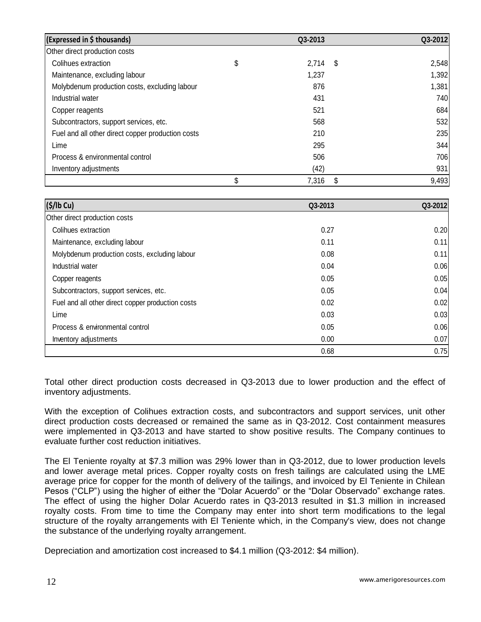| (Expressed in \$ thousands)                       | Q3-2013     |      | Q3-2012 |
|---------------------------------------------------|-------------|------|---------|
| Other direct production costs                     |             |      |         |
| Colihues extraction                               | \$<br>2,714 | - \$ | 2,548   |
| Maintenance, excluding labour                     | 1,237       |      | 1,392   |
| Molybdenum production costs, excluding labour     | 876         |      | 1,381   |
| Industrial water                                  | 431         |      | 740     |
| Copper reagents                                   | 521         |      | 684     |
| Subcontractors, support services, etc.            | 568         |      | 532     |
| Fuel and all other direct copper production costs | 210         |      | 235     |
| Lime                                              | 295         |      | 344     |
| Process & environmental control                   | 506         |      | 706     |
| Inventory adjustments                             | (42)        |      | 931     |
|                                                   | \$<br>7,316 | S    | 9,493   |

| (S/lb Cu)                                         | Q3-2013 | Q3-2012 |
|---------------------------------------------------|---------|---------|
| Other direct production costs                     |         |         |
| Colihues extraction                               | 0.27    | 0.20    |
| Maintenance, excluding labour                     | 0.11    | 0.11    |
| Molybdenum production costs, excluding labour     | 0.08    | 0.11    |
| Industrial water                                  | 0.04    | 0.06    |
| Copper reagents                                   | 0.05    | 0.05    |
| Subcontractors, support services, etc.            | 0.05    | 0.04    |
| Fuel and all other direct copper production costs | 0.02    | 0.02    |
| Lime                                              | 0.03    | 0.03    |
| Process & environmental control                   | 0.05    | 0.06    |
| Inventory adjustments                             | 0.00    | 0.07    |
|                                                   | 0.68    | 0.75    |

Total other direct production costs decreased in Q3-2013 due to lower production and the effect of inventory adjustments.

With the exception of Colihues extraction costs, and subcontractors and support services, unit other direct production costs decreased or remained the same as in Q3-2012. Cost containment measures were implemented in Q3-2013 and have started to show positive results. The Company continues to evaluate further cost reduction initiatives.

The El Teniente royalty at \$7.3 million was 29% lower than in Q3-2012, due to lower production levels and lower average metal prices. Copper royalty costs on fresh tailings are calculated using the LME average price for copper for the month of delivery of the tailings, and invoiced by El Teniente in Chilean Pesos ("CLP") using the higher of either the "Dolar Acuerdo" or the "Dolar Observado" exchange rates. The effect of using the higher Dolar Acuerdo rates in Q3-2013 resulted in \$1.3 million in increased royalty costs. From time to time the Company may enter into short term modifications to the legal structure of the royalty arrangements with El Teniente which, in the Company's view, does not change the substance of the underlying royalty arrangement.

Depreciation and amortization cost increased to \$4.1 million (Q3-2012: \$4 million).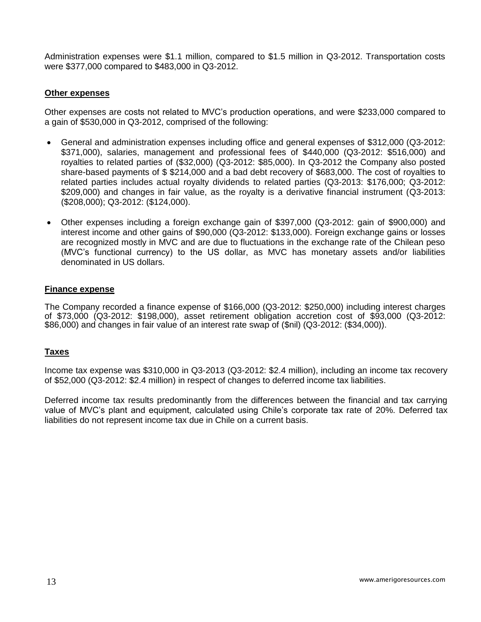Administration expenses were \$1.1 million, compared to \$1.5 million in Q3-2012. Transportation costs were \$377,000 compared to \$483,000 in Q3-2012.

### **Other expenses**

Other expenses are costs not related to MVC's production operations, and were \$233,000 compared to a gain of \$530,000 in Q3-2012, comprised of the following:

- General and administration expenses including office and general expenses of \$312,000 (Q3-2012: \$371,000), salaries, management and professional fees of \$440,000 (Q3-2012: \$516,000) and royalties to related parties of (\$32,000) (Q3-2012: \$85,000). In Q3-2012 the Company also posted share-based payments of \$ \$214,000 and a bad debt recovery of \$683,000. The cost of royalties to related parties includes actual royalty dividends to related parties (Q3-2013: \$176,000; Q3-2012: \$209,000) and changes in fair value, as the royalty is a derivative financial instrument (Q3-2013: (\$208,000); Q3-2012: (\$124,000).
- Other expenses including a foreign exchange gain of \$397,000 (Q3-2012: gain of \$900,000) and interest income and other gains of \$90,000 (Q3-2012: \$133,000). Foreign exchange gains or losses are recognized mostly in MVC and are due to fluctuations in the exchange rate of the Chilean peso (MVC's functional currency) to the US dollar, as MVC has monetary assets and/or liabilities denominated in US dollars.

#### **Finance expense**

The Company recorded a finance expense of \$166,000 (Q3-2012: \$250,000) including interest charges of \$73,000 (Q3-2012: \$198,000), asset retirement obligation accretion cost of \$93,000 (Q3-2012: \$86,000) and changes in fair value of an interest rate swap of (\$nil) (Q3-2012: (\$34,000)).

#### **Taxes**

Income tax expense was \$310,000 in Q3-2013 (Q3-2012: \$2.4 million), including an income tax recovery of \$52,000 (Q3-2012: \$2.4 million) in respect of changes to deferred income tax liabilities.

Deferred income tax results predominantly from the differences between the financial and tax carrying value of MVC's plant and equipment, calculated using Chile's corporate tax rate of 20%. Deferred tax liabilities do not represent income tax due in Chile on a current basis.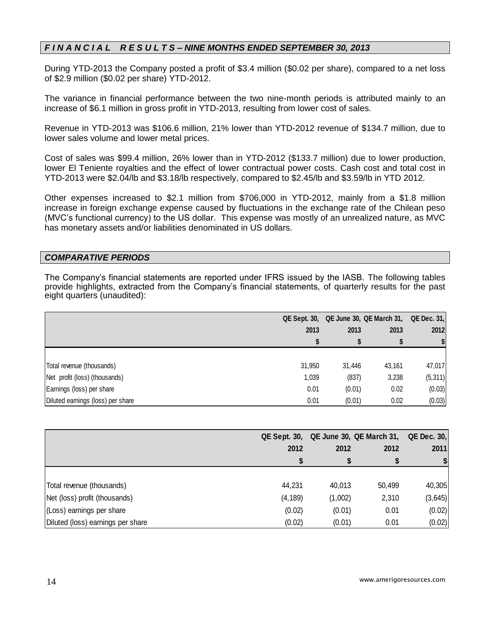# *F I N A N C I A L R E S U L T S – NINE MONTHS ENDED SEPTEMBER 30, 2013*

During YTD-2013 the Company posted a profit of \$3.4 million (\$0.02 per share), compared to a net loss of \$2.9 million (\$0.02 per share) YTD-2012.

The variance in financial performance between the two nine-month periods is attributed mainly to an increase of \$6.1 million in gross profit in YTD-2013, resulting from lower cost of sales.

Revenue in YTD-2013 was \$106.6 million, 21% lower than YTD-2012 revenue of \$134.7 million, due to lower sales volume and lower metal prices.

Cost of sales was \$99.4 million, 26% lower than in YTD-2012 (\$133.7 million) due to lower production, lower El Teniente royalties and the effect of lower contractual power costs. Cash cost and total cost in YTD-2013 were \$2.04/lb and \$3.18/lb respectively, compared to \$2.45/lb and \$3.59/lb in YTD 2012.

Other expenses increased to \$2.1 million from \$706,000 in YTD-2012, mainly from a \$1.8 million increase in foreign exchange expense caused by fluctuations in the exchange rate of the Chilean peso (MVC's functional currency) to the US dollar. This expense was mostly of an unrealized nature, as MVC has monetary assets and/or liabilities denominated in US dollars.

### *COMPARATIVE PERIODS*

The Company's financial statements are reported under IFRS issued by the IASB. The following tables provide highlights, extracted from the Company's financial statements, of quarterly results for the past eight quarters (unaudited):

|                                   |        |        | QE Sept. 30, QE June 30, QE March 31, | <b>QE Dec. 31,</b> |  |
|-----------------------------------|--------|--------|---------------------------------------|--------------------|--|
|                                   | 2013   | 2013   | 2013                                  | 2012               |  |
|                                   |        |        |                                       |                    |  |
|                                   |        |        |                                       |                    |  |
| Total revenue (thousands)         | 31,950 | 31,446 | 43,161                                | 47,017             |  |
| Net profit (loss) (thousands)     | 1,039  | (837)  | 3,238                                 | (5, 311)           |  |
| Earnings (loss) per share         | 0.01   | (0.01) | 0.02                                  | (0.03)             |  |
| Diluted earnings (loss) per share | 0.01   | (0.01) | 0.02                                  | (0.03)             |  |

|                                   |          |         | QE Sept. 30, QE June 30, QE March 31, QE Dec. 30, |                              |  |
|-----------------------------------|----------|---------|---------------------------------------------------|------------------------------|--|
|                                   | 2012     | 2012    | 2012                                              | 2011                         |  |
|                                   |          |         |                                                   | $\left  \frac{1}{2} \right $ |  |
|                                   |          |         |                                                   |                              |  |
| Total revenue (thousands)         | 44,231   | 40.013  | 50,499                                            | 40,305                       |  |
| Net (loss) profit (thousands)     | (4, 189) | (1,002) | 2,310                                             | (3,645)                      |  |
| (Loss) earnings per share         | (0.02)   | (0.01)  | 0.01                                              | (0.02)                       |  |
| Diluted (loss) earnings per share | (0.02)   | (0.01)  | 0.01                                              | (0.02)                       |  |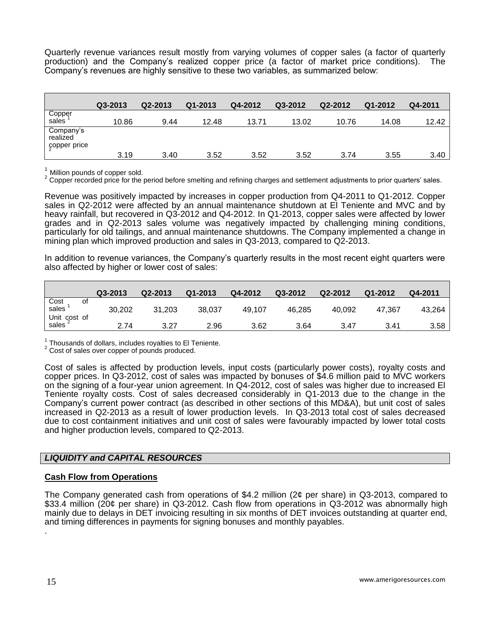Quarterly revenue variances result mostly from varying volumes of copper sales (a factor of quarterly production) and the Company's realized copper price (a factor of market price conditions). The Company's revenues are highly sensitive to these two variables, as summarized below:

|                                       | Q3-2013 | Q2-2013 | $Q1 - 2013$ | Q4-2012 | Q3-2012 | Q2-2012 | Q1-2012 | Q4-2011 |
|---------------------------------------|---------|---------|-------------|---------|---------|---------|---------|---------|
| Copper<br>sales <sup>1</sup>          | 10.86   | 9.44    | 12.48       | 13.71   | 13.02   | 10.76   | 14.08   | 12.42   |
| Company's<br>realized<br>çopper price | 3.19    | 3.40    | 3.52        | 3.52    | 3.52    | 3.74    | 3.55    | 3.40    |

 $<sup>1</sup>$  Million pounds of copper sold.</sup>

<sup>2</sup> Copper recorded price for the period before smelting and refining charges and settlement adjustments to prior quarters' sales.

Revenue was positively impacted by increases in copper production from Q4-2011 to Q1-2012. Copper sales in Q2-2012 were affected by an annual maintenance shutdown at El Teniente and MVC and by heavy rainfall, but recovered in Q3-2012 and Q4-2012. In Q1-2013, copper sales were affected by lower grades and in Q2-2013 sales volume was negatively impacted by challenging mining conditions, particularly for old tailings, and annual maintenance shutdowns. The Company implemented a change in mining plan which improved production and sales in Q3-2013, compared to Q2-2013.

In addition to revenue variances, the Company's quarterly results in the most recent eight quarters were also affected by higher or lower cost of sales:

|                                    | Q3-2013 | Q2-2013 | Q1-2013 | Q4-2012 | Q3-2012 | Q2-2012 | Q1-2012 | Q4-2011 |
|------------------------------------|---------|---------|---------|---------|---------|---------|---------|---------|
| Cost<br>sales<br>Οt                | 30,202  | 31,203  | 38,037  | 49.107  | 46.285  | 40.092  | 47.367  | 43.264  |
| Unit cost of<br>sales <sup>2</sup> | 2.74    | 3.27    | 2.96    | 3.62    | 3.64    | 3.47    | 3.41    | 3.58    |

 $\frac{1}{6}$  Thousands of dollars, includes royalties to El Teniente.

<sup>2</sup> Cost of sales over copper of pounds produced.

Cost of sales is affected by production levels, input costs (particularly power costs), royalty costs and copper prices. In Q3-2012, cost of sales was impacted by bonuses of \$4.6 million paid to MVC workers on the signing of a four-year union agreement. In Q4-2012, cost of sales was higher due to increased El Teniente royalty costs. Cost of sales decreased considerably in Q1-2013 due to the change in the Company's current power contract (as described in other sections of this MD&A), but unit cost of sales increased in Q2-2013 as a result of lower production levels. In Q3-2013 total cost of sales decreased due to cost containment initiatives and unit cost of sales were favourably impacted by lower total costs and higher production levels, compared to Q2-2013.

#### *LIQUIDITY and CAPITAL RESOURCES*

#### **Cash Flow from Operations**

The Company generated cash from operations of \$4.2 million (2¢ per share) in Q3-2013, compared to \$33.4 million (20¢ per share) in Q3-2012. Cash flow from operations in Q3-2012 was abnormally high mainly due to delays in DET invoicing resulting in six months of DET invoices outstanding at quarter end, and timing differences in payments for signing bonuses and monthly payables.

.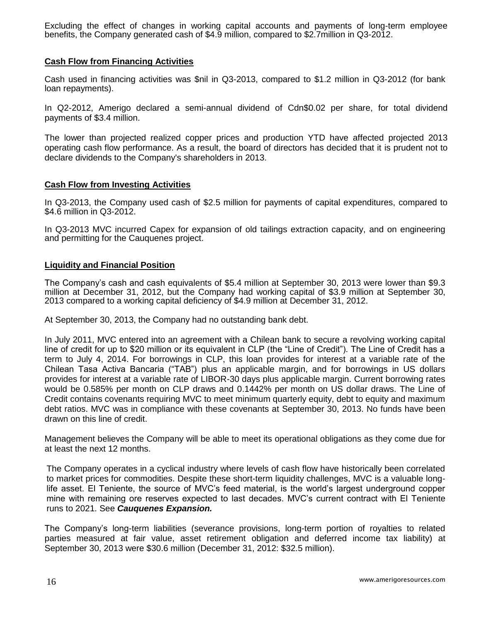Excluding the effect of changes in working capital accounts and payments of long-term employee benefits, the Company generated cash of \$4.9 million, compared to \$2.7million in Q3-2012.

### **Cash Flow from Financing Activities**

Cash used in financing activities was \$nil in Q3-2013, compared to \$1.2 million in Q3-2012 (for bank loan repayments).

In Q2-2012, Amerigo declared a semi-annual dividend of Cdn\$0.02 per share, for total dividend payments of \$3.4 million.

The lower than projected realized copper prices and production YTD have affected projected 2013 operating cash flow performance. As a result, the board of directors has decided that it is prudent not to declare dividends to the Company's shareholders in 2013.

#### **Cash Flow from Investing Activities**

In Q3-2013, the Company used cash of \$2.5 million for payments of capital expenditures, compared to \$4.6 million in Q3-2012.

In Q3-2013 MVC incurred Capex for expansion of old tailings extraction capacity, and on engineering and permitting for the Cauquenes project.

#### **Liquidity and Financial Position**

The Company's cash and cash equivalents of \$5.4 million at September 30, 2013 were lower than \$9.3 million at December 31, 2012, but the Company had working capital of \$3.9 million at September 30, 2013 compared to a working capital deficiency of \$4.9 million at December 31, 2012.

At September 30, 2013, the Company had no outstanding bank debt.

In July 2011, MVC entered into an agreement with a Chilean bank to secure a revolving working capital line of credit for up to \$20 million or its equivalent in CLP (the "Line of Credit"). The Line of Credit has a term to July 4, 2014. For borrowings in CLP, this loan provides for interest at a variable rate of the Chilean Tasa Activa Bancaria ("TAB") plus an applicable margin, and for borrowings in US dollars provides for interest at a variable rate of LIBOR-30 days plus applicable margin. Current borrowing rates would be 0.585% per month on CLP draws and 0.1442% per month on US dollar draws. The Line of Credit contains covenants requiring MVC to meet minimum quarterly equity, debt to equity and maximum debt ratios. MVC was in compliance with these covenants at September 30, 2013. No funds have been drawn on this line of credit.

Management believes the Company will be able to meet its operational obligations as they come due for at least the next 12 months.

The Company operates in a cyclical industry where levels of cash flow have historically been correlated to market prices for commodities. Despite these short-term liquidity challenges, MVC is a valuable longlife asset. El Teniente, the source of MVC's feed material, is the world's largest underground copper mine with remaining ore reserves expected to last decades. MVC's current contract with El Teniente runs to 2021. See *Cauquenes Expansion.*

The Company's long-term liabilities (severance provisions, long-term portion of royalties to related parties measured at fair value, asset retirement obligation and deferred income tax liability) at September 30, 2013 were \$30.6 million (December 31, 2012: \$32.5 million).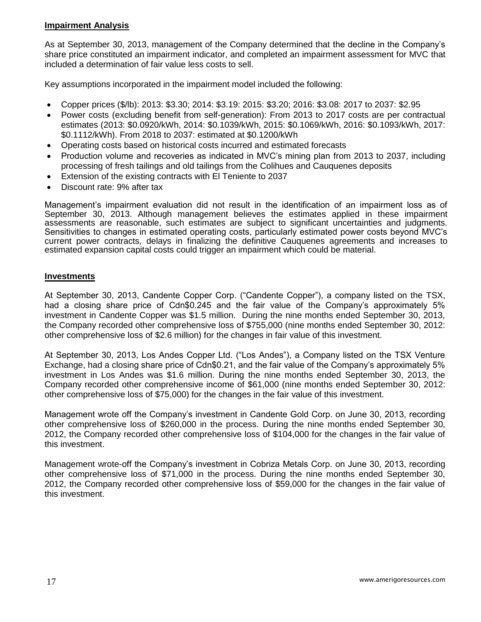# **Impairment Analysis**

As at September 30, 2013, management of the Company determined that the decline in the Company's share price constituted an impairment indicator, and completed an impairment assessment for MVC that included a determination of fair value less costs to sell.

Key assumptions incorporated in the impairment model included the following:

- Copper prices (\$/lb): 2013: \$3.30; 2014: \$3.19: 2015: \$3.20; 2016: \$3.08: 2017 to 2037: \$2.95
- Power costs (excluding benefit from self-generation): From 2013 to 2017 costs are per contractual estimates (2013: \$0.0920/kWh, 2014: \$0.1039/kWh, 2015: \$0.1069/kWh, 2016: \$0.1093/kWh, 2017: \$0.1112/kWh). From 2018 to 2037: estimated at \$0.1200/kWh
- Operating costs based on historical costs incurred and estimated forecasts
- Production volume and recoveries as indicated in MVC's mining plan from 2013 to 2037, including processing of fresh tailings and old tailings from the Colihues and Cauquenes deposits
- Extension of the existing contracts with El Teniente to 2037
- Discount rate: 9% after tax

Management's impairment evaluation did not result in the identification of an impairment loss as of September 30, 2013. Although management believes the estimates applied in these impairment assessments are reasonable, such estimates are subject to significant uncertainties and judgments. Sensitivities to changes in estimated operating costs, particularly estimated power costs beyond MVC's current power contracts, delays in finalizing the definitive Cauquenes agreements and increases to estimated expansion capital costs could trigger an impairment which could be material.

#### **Investments**

At September 30, 2013, Candente Copper Corp. ("Candente Copper"), a company listed on the TSX, had a closing share price of Cdn\$0.245 and the fair value of the Company's approximately 5% investment in Candente Copper was \$1.5 million. During the nine months ended September 30, 2013, the Company recorded other comprehensive loss of \$755,000 (nine months ended September 30, 2012: other comprehensive loss of \$2.6 million) for the changes in fair value of this investment.

At September 30, 2013, Los Andes Copper Ltd. ("Los Andes"), a Company listed on the TSX Venture Exchange, had a closing share price of Cdn\$0.21, and the fair value of the Company's approximately 5% investment in Los Andes was \$1.6 million. During the nine months ended September 30, 2013, the Company recorded other comprehensive income of \$61,000 (nine months ended September 30, 2012: other comprehensive loss of \$75,000) for the changes in the fair value of this investment.

Management wrote off the Company's investment in Candente Gold Corp. on June 30, 2013, recording other comprehensive loss of \$260,000 in the process. During the nine months ended September 30, 2012, the Company recorded other comprehensive loss of \$104,000 for the changes in the fair value of this investment.

Management wrote-off the Company's investment in Cobriza Metals Corp. on June 30, 2013, recording other comprehensive loss of \$71,000 in the process. During the nine months ended September 30, 2012, the Company recorded other comprehensive loss of \$59,000 for the changes in the fair value of this investment.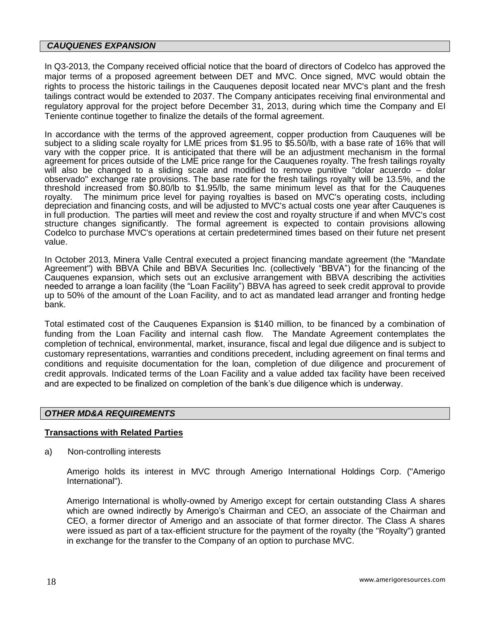#### *CAUQUENES EXPANSION*

In Q3-2013, the Company received official notice that the board of directors of Codelco has approved the major terms of a proposed agreement between DET and MVC. Once signed, MVC would obtain the rights to process the historic tailings in the Cauquenes deposit located near MVC's plant and the fresh tailings contract would be extended to 2037. The Company anticipates receiving final environmental and regulatory approval for the project before December 31, 2013, during which time the Company and El Teniente continue together to finalize the details of the formal agreement.

In accordance with the terms of the approved agreement, copper production from Cauquenes will be subject to a sliding scale royalty for LME prices from \$1.95 to \$5.50/lb, with a base rate of 16% that will vary with the copper price. It is anticipated that there will be an adjustment mechanism in the formal agreement for prices outside of the LME price range for the Cauquenes royalty. The fresh tailings royalty will also be changed to a sliding scale and modified to remove punitive "dolar acuerdo - dolar observado" exchange rate provisions. The base rate for the fresh tailings royalty will be 13.5%, and the threshold increased from \$0.80/lb to \$1.95/lb, the same minimum level as that for the Cauquenes royalty. The minimum price level for paying royalties is based on MVC's operating costs, including depreciation and financing costs, and will be adjusted to MVC's actual costs one year after Cauquenes is in full production. The parties will meet and review the cost and royalty structure if and when MVC's cost structure changes significantly. The formal agreement is expected to contain provisions allowing Codelco to purchase MVC's operations at certain predetermined times based on their future net present value.

In October 2013, Minera Valle Central executed a project financing mandate agreement (the "Mandate Agreement") with BBVA Chile and BBVA Securities Inc. (collectively "BBVA") for the financing of the Cauquenes expansion, which sets out an exclusive arrangement with BBVA describing the activities needed to arrange a loan facility (the "Loan Facility") BBVA has agreed to seek credit approval to provide up to 50% of the amount of the Loan Facility, and to act as mandated lead arranger and fronting hedge bank.

Total estimated cost of the Cauquenes Expansion is \$140 million, to be financed by a combination of funding from the Loan Facility and internal cash flow. The Mandate Agreement contemplates the completion of technical, environmental, market, insurance, fiscal and legal due diligence and is subject to customary representations, warranties and conditions precedent, including agreement on final terms and conditions and requisite documentation for the loan, completion of due diligence and procurement of credit approvals. Indicated terms of the Loan Facility and a value added tax facility have been received and are expected to be finalized on completion of the bank's due diligence which is underway.

### *OTHER MD&A REQUIREMENTS*

#### **Transactions with Related Parties**

a) Non-controlling interests

Amerigo holds its interest in MVC through Amerigo International Holdings Corp. ("Amerigo International").

Amerigo International is wholly-owned by Amerigo except for certain outstanding Class A shares which are owned indirectly by Amerigo's Chairman and CEO, an associate of the Chairman and CEO, a former director of Amerigo and an associate of that former director. The Class A shares were issued as part of a tax-efficient structure for the payment of the royalty (the "Royalty") granted in exchange for the transfer to the Company of an option to purchase MVC.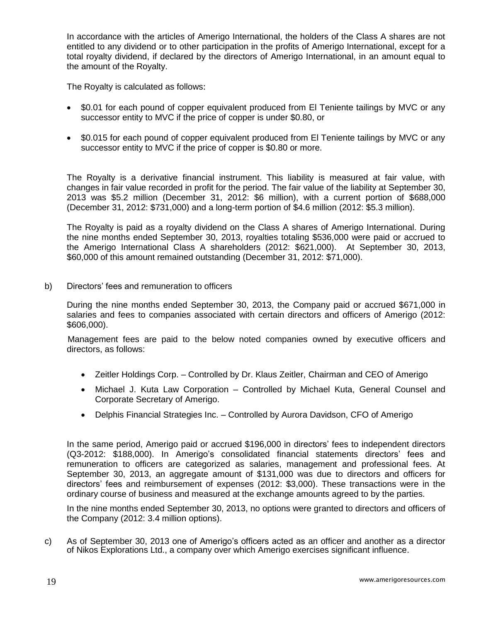In accordance with the articles of Amerigo International, the holders of the Class A shares are not entitled to any dividend or to other participation in the profits of Amerigo International, except for a total royalty dividend, if declared by the directors of Amerigo International, in an amount equal to the amount of the Royalty.

The Royalty is calculated as follows:

- \$0.01 for each pound of copper equivalent produced from El Teniente tailings by MVC or any successor entity to MVC if the price of copper is under \$0.80, or
- \$0.015 for each pound of copper equivalent produced from El Teniente tailings by MVC or any successor entity to MVC if the price of copper is \$0.80 or more.

The Royalty is a derivative financial instrument. This liability is measured at fair value, with changes in fair value recorded in profit for the period. The fair value of the liability at September 30, 2013 was \$5.2 million (December 31, 2012: \$6 million), with a current portion of \$688,000 (December 31, 2012: \$731,000) and a long-term portion of \$4.6 million (2012: \$5.3 million).

The Royalty is paid as a royalty dividend on the Class A shares of Amerigo International. During the nine months ended September 30, 2013, royalties totaling \$536,000 were paid or accrued to the Amerigo International Class A shareholders (2012: \$621,000). At September 30, 2013, \$60,000 of this amount remained outstanding (December 31, 2012: \$71,000).

b) Directors' fees and remuneration to officers

During the nine months ended September 30, 2013, the Company paid or accrued \$671,000 in salaries and fees to companies associated with certain directors and officers of Amerigo (2012: \$606,000).

Management fees are paid to the below noted companies owned by executive officers and directors, as follows:

- Zeitler Holdings Corp. Controlled by Dr. Klaus Zeitler, Chairman and CEO of Amerigo
- Michael J. Kuta Law Corporation Controlled by Michael Kuta, General Counsel and Corporate Secretary of Amerigo.
- Delphis Financial Strategies Inc. Controlled by Aurora Davidson, CFO of Amerigo

In the same period, Amerigo paid or accrued \$196,000 in directors' fees to independent directors (Q3-2012: \$188,000). In Amerigo's consolidated financial statements directors' fees and remuneration to officers are categorized as salaries, management and professional fees. At September 30, 2013, an aggregate amount of \$131,000 was due to directors and officers for directors' fees and reimbursement of expenses (2012: \$3,000). These transactions were in the ordinary course of business and measured at the exchange amounts agreed to by the parties.

In the nine months ended September 30, 2013, no options were granted to directors and officers of the Company (2012: 3.4 million options).

c) As of September 30, 2013 one of Amerigo's officers acted as an officer and another as a director of Nikos Explorations Ltd., a company over which Amerigo exercises significant influence.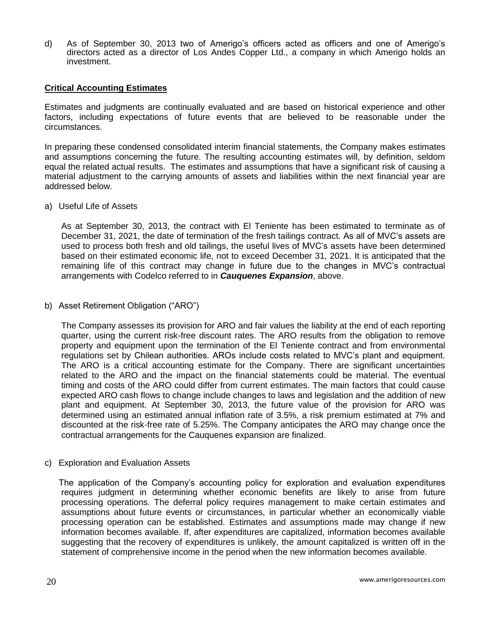d) As of September 30, 2013 two of Amerigo's officers acted as officers and one of Amerigo's directors acted as a director of Los Andes Copper Ltd., a company in which Amerigo holds an investment.

#### **Critical Accounting Estimates**

Estimates and judgments are continually evaluated and are based on historical experience and other factors, including expectations of future events that are believed to be reasonable under the circumstances.

In preparing these condensed consolidated interim financial statements, the Company makes estimates and assumptions concerning the future. The resulting accounting estimates will, by definition, seldom equal the related actual results. The estimates and assumptions that have a significant risk of causing a material adjustment to the carrying amounts of assets and liabilities within the next financial year are addressed below.

#### a) Useful Life of Assets

As at September 30, 2013, the contract with El Teniente has been estimated to terminate as of December 31, 2021, the date of termination of the fresh tailings contract. As all of MVC's assets are used to process both fresh and old tailings, the useful lives of MVC's assets have been determined based on their estimated economic life, not to exceed December 31, 2021. It is anticipated that the remaining life of this contract may change in future due to the changes in MVC's contractual arrangements with Codelco referred to in *Cauquenes Expansion*, above.

#### b) Asset Retirement Obligation ("ARO")

The Company assesses its provision for ARO and fair values the liability at the end of each reporting quarter, using the current risk-free discount rates. The ARO results from the obligation to remove property and equipment upon the termination of the El Teniente contract and from environmental regulations set by Chilean authorities. AROs include costs related to MVC's plant and equipment. The ARO is a critical accounting estimate for the Company. There are significant uncertainties related to the ARO and the impact on the financial statements could be material. The eventual timing and costs of the ARO could differ from current estimates. The main factors that could cause expected ARO cash flows to change include changes to laws and legislation and the addition of new plant and equipment. At September 30, 2013, the future value of the provision for ARO was determined using an estimated annual inflation rate of 3.5%, a risk premium estimated at 7% and discounted at the risk-free rate of 5.25%. The Company anticipates the ARO may change once the contractual arrangements for the Cauquenes expansion are finalized.

#### c) Exploration and Evaluation Assets

The application of the Company's accounting policy for exploration and evaluation expenditures requires judgment in determining whether economic benefits are likely to arise from future processing operations. The deferral policy requires management to make certain estimates and assumptions about future events or circumstances, in particular whether an economically viable processing operation can be established. Estimates and assumptions made may change if new information becomes available. If, after expenditures are capitalized, information becomes available suggesting that the recovery of expenditures is unlikely, the amount capitalized is written off in the statement of comprehensive income in the period when the new information becomes available.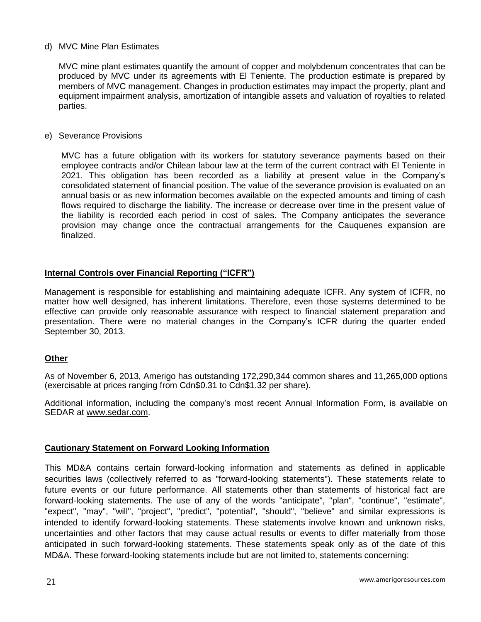### d) MVC Mine Plan Estimates

MVC mine plant estimates quantify the amount of copper and molybdenum concentrates that can be produced by MVC under its agreements with El Teniente. The production estimate is prepared by members of MVC management. Changes in production estimates may impact the property, plant and equipment impairment analysis, amortization of intangible assets and valuation of royalties to related parties.

### e) Severance Provisions

MVC has a future obligation with its workers for statutory severance payments based on their employee contracts and/or Chilean labour law at the term of the current contract with El Teniente in 2021. This obligation has been recorded as a liability at present value in the Company's consolidated statement of financial position. The value of the severance provision is evaluated on an annual basis or as new information becomes available on the expected amounts and timing of cash flows required to discharge the liability. The increase or decrease over time in the present value of the liability is recorded each period in cost of sales. The Company anticipates the severance provision may change once the contractual arrangements for the Cauquenes expansion are finalized.

### **Internal Controls over Financial Reporting ("ICFR")**

Management is responsible for establishing and maintaining adequate ICFR. Any system of ICFR, no matter how well designed, has inherent limitations. Therefore, even those systems determined to be effective can provide only reasonable assurance with respect to financial statement preparation and presentation. There were no material changes in the Company's ICFR during the quarter ended September 30, 2013.

### **Other**

As of November 6, 2013, Amerigo has outstanding 172,290,344 common shares and 11,265,000 options (exercisable at prices ranging from Cdn\$0.31 to Cdn\$1.32 per share).

Additional information, including the company's most recent Annual Information Form, is available on SEDAR at [www.sedar.com.](http://www.sedar.com/)

### **Cautionary Statement on Forward Looking Information**

This MD&A contains certain forward-looking information and statements as defined in applicable securities laws (collectively referred to as "forward-looking statements"). These statements relate to future events or our future performance. All statements other than statements of historical fact are forward-looking statements. The use of any of the words "anticipate", "plan", "continue", "estimate", "expect", "may", "will", "project", "predict", "potential", "should", "believe" and similar expressions is intended to identify forward-looking statements. These statements involve known and unknown risks, uncertainties and other factors that may cause actual results or events to differ materially from those anticipated in such forward-looking statements. These statements speak only as of the date of this MD&A. These forward-looking statements include but are not limited to, statements concerning: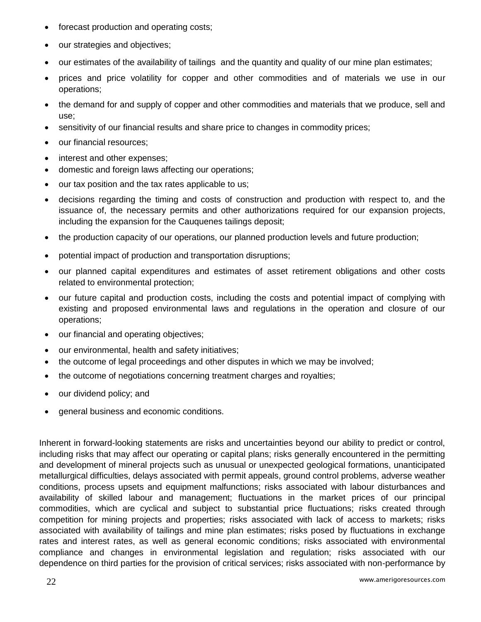- forecast production and operating costs;
- our strategies and objectives;
- our estimates of the availability of tailings and the quantity and quality of our mine plan estimates;
- prices and price volatility for copper and other commodities and of materials we use in our operations;
- the demand for and supply of copper and other commodities and materials that we produce, sell and use;
- sensitivity of our financial results and share price to changes in commodity prices;
- our financial resources;
- interest and other expenses:
- domestic and foreign laws affecting our operations;
- our tax position and the tax rates applicable to us;
- decisions regarding the timing and costs of construction and production with respect to, and the issuance of, the necessary permits and other authorizations required for our expansion projects, including the expansion for the Cauquenes tailings deposit;
- the production capacity of our operations, our planned production levels and future production;
- potential impact of production and transportation disruptions;
- our planned capital expenditures and estimates of asset retirement obligations and other costs related to environmental protection;
- our future capital and production costs, including the costs and potential impact of complying with existing and proposed environmental laws and regulations in the operation and closure of our operations;
- our financial and operating objectives;
- our environmental, health and safety initiatives;
- the outcome of legal proceedings and other disputes in which we may be involved;
- the outcome of negotiations concerning treatment charges and royalties;
- our dividend policy; and
- general business and economic conditions.

Inherent in forward-looking statements are risks and uncertainties beyond our ability to predict or control, including risks that may affect our operating or capital plans; risks generally encountered in the permitting and development of mineral projects such as unusual or unexpected geological formations, unanticipated metallurgical difficulties, delays associated with permit appeals, ground control problems, adverse weather conditions, process upsets and equipment malfunctions; risks associated with labour disturbances and availability of skilled labour and management; fluctuations in the market prices of our principal commodities, which are cyclical and subject to substantial price fluctuations; risks created through competition for mining projects and properties; risks associated with lack of access to markets; risks associated with availability of tailings and mine plan estimates; risks posed by fluctuations in exchange rates and interest rates, as well as general economic conditions; risks associated with environmental compliance and changes in environmental legislation and regulation; risks associated with our dependence on third parties for the provision of critical services; risks associated with non-performance by